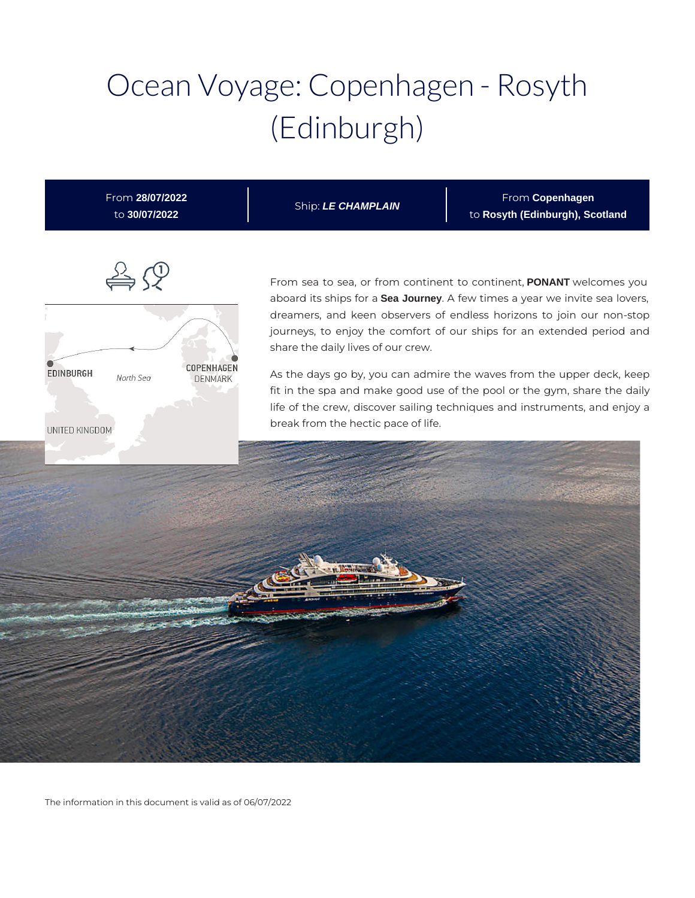# Ocean Voyage: Copenhagen - Rosyth (Edinburgh)

| From 28/07/2022<br>to 30/07/2022                                                | Ship: LE CHAMPLAIN                                                        | From Copenhagen<br>to Rosyth (Edinburgh), Scotland                                                                                                                                                                                                                                                                                                                                                                                                                                                                                                |
|---------------------------------------------------------------------------------|---------------------------------------------------------------------------|---------------------------------------------------------------------------------------------------------------------------------------------------------------------------------------------------------------------------------------------------------------------------------------------------------------------------------------------------------------------------------------------------------------------------------------------------------------------------------------------------------------------------------------------------|
| COPENHAGEN<br><b>EDINBURGH</b><br>North Sea<br><b>DENMARK</b><br>UNITED KINGDOM | share the daily lives of our crew.<br>break from the hectic pace of life. | From sea to sea, or from continent to continent, <b>PONANT</b> welcomes you<br>aboard its ships for a Sea Journey. A few times a year we invite sea lovers,<br>dreamers, and keen observers of endless horizons to join our non-stop<br>journeys, to enjoy the comfort of our ships for an extended period and<br>As the days go by, you can admire the waves from the upper deck, keep<br>fit in the spa and make good use of the pool or the gym, share the daily<br>life of the crew, discover sailing techniques and instruments, and enjoy a |
|                                                                                 |                                                                           |                                                                                                                                                                                                                                                                                                                                                                                                                                                                                                                                                   |

The information in this document is valid as of 06/07/2022